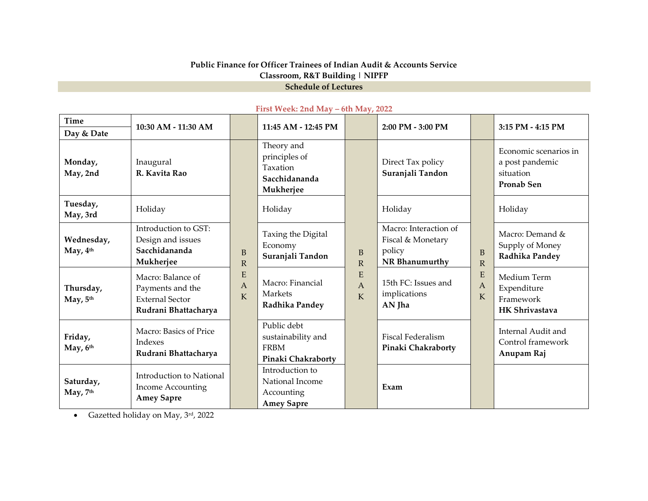## **Public Finance for Officer Trainees of Indian Audit & Accounts Service Classroom, R&T Building | NIPFP Schedule of Lectures**

| Time                   | 10:30 AM - 11:30 AM                                                                     |                        | 11:45 AM - 12:45 PM                                                    |                                | 2:00 PM - 3:00 PM                                                      |                     | 3:15 PM - 4:15 PM                                                          |
|------------------------|-----------------------------------------------------------------------------------------|------------------------|------------------------------------------------------------------------|--------------------------------|------------------------------------------------------------------------|---------------------|----------------------------------------------------------------------------|
| Day & Date             |                                                                                         |                        |                                                                        |                                |                                                                        |                     |                                                                            |
| Monday,<br>May, 2nd    | Inaugural<br>R. Kavita Rao                                                              | B<br>$\mathbb{R}$      | Theory and<br>principles of<br>Taxation<br>Sacchidananda<br>Mukherjee  | B<br>$\mathbb{R}$              | Direct Tax policy<br>Suranjali Tandon                                  | B<br>$\mathbb{R}$   | Economic scenarios in<br>a post pandemic<br>situation<br><b>Pronab Sen</b> |
| Tuesday,<br>May, 3rd   | Holiday                                                                                 |                        | Holiday                                                                |                                | Holiday                                                                |                     | Holiday                                                                    |
| Wednesday,<br>May, 4th | Introduction to GST:<br>Design and issues<br>Sacchidananda<br>Mukherjee                 |                        | Taxing the Digital<br>Economy<br>Suranjali Tandon                      |                                | Macro: Interaction of<br>Fiscal & Monetary<br>policy<br>NR Bhanumurthy |                     | Macro: Demand &<br>Supply of Money<br>Radhika Pandey                       |
| Thursday,<br>May, 5th  | Macro: Balance of<br>Payments and the<br><b>External Sector</b><br>Rudrani Bhattacharya | E<br>$\mathbf{A}$<br>K | Macro: Financial<br>Markets<br>Radhika Pandey                          | E<br>$\mathbf{A}$<br>${\bf K}$ | 15th FC: Issues and<br>implications<br>AN Jha                          | E<br>A<br>${\bf K}$ | Medium Term<br>Expenditure<br>Framework<br><b>HK Shrivastava</b>           |
| Friday,<br>May, 6th    | Macro: Basics of Price<br>Indexes<br>Rudrani Bhattacharya                               |                        | Public debt<br>sustainability and<br><b>FRBM</b><br>Pinaki Chakraborty |                                | <b>Fiscal Federalism</b><br>Pinaki Chakraborty                         |                     | Internal Audit and<br>Control framework<br>Anupam Raj                      |
| Saturday,<br>May, 7th  | Introduction to National<br>Income Accounting<br><b>Amey Sapre</b>                      |                        | Introduction to<br>National Income<br>Accounting<br><b>Amey Sapre</b>  |                                | Exam                                                                   |                     |                                                                            |

### **First Week: 2nd May – 6th May, 2022**

• Gazetted holiday on May, 3rd, 2022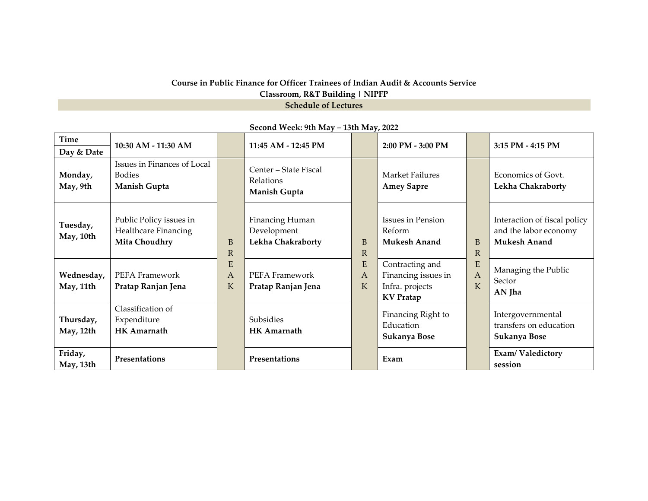## **Course in Public Finance for Officer Trainees of Indian Audit & Accounts Service Classroom, R&T Building | NIPFP Schedule of Lectures**

| Time                    | 10:30 AM - 11:30 AM                                              |                     |                                                           |                              | 2:00 PM - 3:00 PM                                                             |                              | 3:15 PM - 4:15 PM                                                            |
|-------------------------|------------------------------------------------------------------|---------------------|-----------------------------------------------------------|------------------------------|-------------------------------------------------------------------------------|------------------------------|------------------------------------------------------------------------------|
| Day & Date              |                                                                  |                     | 11:45 AM - 12:45 PM                                       |                              |                                                                               |                              |                                                                              |
| Monday,<br>May, 9th     | Issues in Finances of Local<br><b>Bodies</b><br>Manish Gupta     |                     | Center - State Fiscal<br><b>Relations</b><br>Manish Gupta |                              | Market Failures<br><b>Amey Sapre</b>                                          |                              | Economics of Govt.<br>Lekha Chakraborty                                      |
| Tuesday,<br>May, 10th   | Public Policy issues in<br>Healthcare Financing<br>Mita Choudhry | B<br>$\mathbb{R}$   | Financing Human<br>Development<br>Lekha Chakraborty       | <sub>B</sub><br>$\mathbb{R}$ | Issues in Pension<br>Reform<br><b>Mukesh Anand</b>                            | <sub>B</sub><br>$\mathbb{R}$ | Interaction of fiscal policy<br>and the labor economy<br><b>Mukesh Anand</b> |
| Wednesday,<br>May, 11th | PEFA Framework<br>Pratap Ranjan Jena                             | E<br>A<br>${\bf K}$ | PEFA Framework<br>Pratap Ranjan Jena                      | E<br>Α<br>K                  | Contracting and<br>Financing issues in<br>Infra. projects<br><b>KV</b> Pratap | E<br>$\overline{A}$<br>K     | Managing the Public<br>Sector<br>AN Jha                                      |
| Thursday,<br>May, 12th  | Classification of<br>Expenditure<br><b>HK Amarnath</b>           |                     | Subsidies<br><b>HK</b> Amarnath                           |                              | Financing Right to<br>Education<br>Sukanya Bose                               |                              | Intergovernmental<br>transfers on education<br>Sukanya Bose                  |
| Friday,<br>May, 13th    | Presentations                                                    |                     | Presentations                                             |                              | Exam                                                                          |                              | Exam/Valedictory<br>session                                                  |

# **Second Week: 9th May – 13th May, 2022**